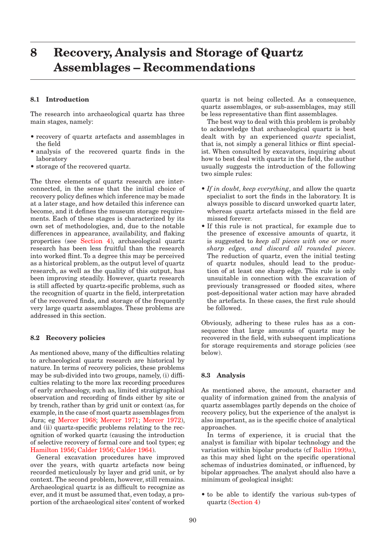# <span id="page-0-0"></span>**8 Recovery, Analysis and Storage of Quartz Assemblages – Recommendations**

### **8.1 Introduction**

The research into archaeological quartz has three main stages, namely:

- recovery of quartz artefacts and assemblages in the field
- analysis of the recovered quartz finds in the laboratory
- storage of the recovered quartz. •

The three elements of quartz research are interconnected, in the sense that the initial choice of recovery policy defines which inference may be made at a later stage, and how detailed this inference can become, and it defines the museum storage requirements. Each of these stages is characterized by its own set of methodologies, and, due to the notable differences in appearance, availability, and flaking properties (see Section 4), archaeological quartz research has been less fruitful than the research into worked flint. To a degree this may be perceived as a historical problem, as the output level of quartz research, as well as the quality of this output, has been improving steadily. However, quartz research is still affected by quartz-specific problems, such as the recognition of quartz in the field, interpretation of the recovered finds, and storage of the frequently very large quartz assemblages. These problems are addressed in this section.

#### **8.2 Recovery policies**

As mentioned above, many of the difficulties relating to archaeological quartz research are historical by nature. In terms of recovery policies, these problems may be sub-divided into two groups, namely, (i) difficulties relating to the more lax recording procedures of early archaeology, such as, limited stratigraphical observation and recording of finds either by site or by trench, rather than by grid unit or context (as, for example, in the case of most quartz assemblages from Jura; eg [Mercer 1968; Mercer 1971; Mercer 1972\),](#page-5-0)  and (ii) quartz-specific problems relating to the recognition of worked quartz (causing the introduction of selective recovery of formal core and tool types; eg [Hamilton 1956;](#page-4-0) [Calder 1956; Calder 1964\)](#page-2-0).

General excavation procedures have improved over the years, with quartz artefacts now being recorded meticulously by layer and grid unit, or by context. The second problem, however, still remains. Archaeological quartz is as difficult to recognize as ever, and it must be assumed that, even today, a proportion of the archaeological sites' content of worked quartz is not being collected. As a consequence, quartz assemblages, or sub-assemblages, may still be less representative than flint assemblages.

The best way to deal with this problem is probably to acknowledge that archaeological quartz is best dealt with by an experienced *quartz* specialist, that is, not simply a general lithics or flint specialist. When consulted by excavators, inquiring about how to best deal with quartz in the field, the author usually suggests the introduction of the following two simple rules:

- If in doubt, keep everything, and allow the quartz specialist to sort the finds in the laboratory. It is always possible to discard unworked quartz later, whereas quartz artefacts missed in the field are missed forever.
- If this rule is not practical, for example due to the presence of excessive amounts of quartz, it is suggested to *keep all pieces with one or more sharp edges, and discard all rounded pieces*. The reduction of quartz, even the initial testing of quartz nodules, should lead to the production of at least one sharp edge. This rule is only unsuitable in connection with the excavation of previously transgressed or flooded sites, where post-depositional water action may have abraded the artefacts. In these cases, the first rule should be followed.

Obviously, adhering to these rules has as a consequence that large amounts of quartz may be recovered in the field, with subsequent implications for storage requirements and storage policies (see below).

## **8.3 Analysis**

As mentioned above, the amount, character and quality of information gained from the analysis of quartz assemblages partly depends on the choice of recovery policy, but the experience of the analyst is also important, as is the specific choice of analytical approaches.

In terms of experience, it is crucial that the analyst is familiar with bipolar technology and the variation within bipolar products (cf Ballin 1999a), as this may shed light on the specific operational schemas of industries dominated, or influenced, by bipolar approaches. The analyst should also have a minimum of geological insight:

• to be able to identify the various sub-types of quartz (Section 4)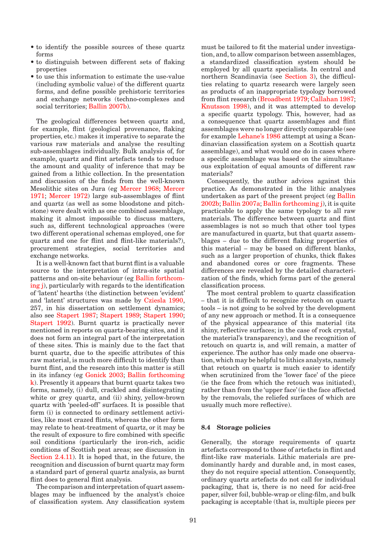- to identify the possible sources of these quartz forms
- to distinguish between different sets of flaking properties
- to use this information to estimate the use-value (including symbolic value) of the different quartz forms, and define possible prehistoric territories and exchange networks (techno-complexes and social territories; Ballin 2007b).

The geological differences between quartz and, for example, flint (geological provenance, flaking properties, etc.) makes it imperative to separate the various raw materials and analyse the resulting sub-assemblages individually. Bulk analysis of, for example, quartz and flint artefacts tends to reduce the amount and quality of inference that may be gained from a lithic collection. In the presentation and discussion of the finds from the well-known [Mesolithic sites on Jura \(eg Mercer 1968; Mercer](#page-5-0)  1971; Mercer 1972) large sub-assemblages of flint and quartz (as well as some bloodstone and pitchstone) were dealt with as one combined assemblage, making it almost impossible to discuss matters, such as, different technological approaches (were two different operational schemas employed, one for quartz and one for flint and flint-like materials?), procurement strategies, social territories and exchange networks.

It is a well-known fact that burnt flint is a valuable source to the interpretation of intra-site spatial patterns and on-site behaviour (eg Ballin forthcoming j), particularly with regards to the identification of 'latent' hearths (the distinction between 'evident' and 'latent' structures was made b[y Cziesla 1990,](#page-3-0)  257, in his dissertation on settlement dynamics; also see Stapert 1987; Stapert 1989; Stapert 1990; [Stapert 1992\). Burnt quartz is practically never](#page-6-0)  mentioned in reports on quartz-bearing sites, and it does not form an integral part of the interpretation of these sites. This is mainly due to the fact that burnt quartz, due to the specific attributes of this raw material, is much more difficult to identify than burnt flint, and the research into this matter is still in its infancy ([eg Gonick 2003; B](#page-3-0)allin forthcoming k). Presently it appears that burnt quartz takes two forms, namely, (i) dull, crackled and disintegrating white or grey quartz, and (ii) shiny, yellow-brown quartz with 'peeled-off' surfaces. It is possible that form (i) is connected to ordinary settlement activities, like most crazed flints, whereas the other form may relate to heat-treatment of quartz, or it may be the result of exposure to fire combined with specific soil conditions (particularly the iron-rich, acidic conditions of Scottish peat areas; see discussion in [Section 2.4.11\).](#page-37-0) It is hoped that, in the future, the recognition and discussion of burnt quartz may form a standard part of general quartz analysis, as burnt flint does to general flint analysis.

The comparison and interpretation of quart assemblages may be influenced by the analyst's choice of classification system. Any classification system must be tailored to fit the material under investigation, and, to allow comparison between assemblages, a standardized classification system should be employed by all quartz specialists. In central and northern Scandinavia (se[e Section 3\), th](#page-0-0)e difficulties relating to quartz research were largely seen as products of an inappropriate typology borrowed from flint researc[h \(Broadbent 1979; Callahan 1987;](#page-2-0) [Knutsson 1998\),](#page-4-0) and it was attempted to develop a specific quartz typology. This, however, had as a consequence that quartz assemblages and flint assemblages were no longer directly comparable (see for exampl[e Lehane's 1986 at](#page-4-0)tempt at using a Scandinavian classification system on a Scottish quartz assemblage), and what would one do in cases where a specific assemblage was based on the simultaneous exploitation of equal amounts of different raw materials?

Consequently, the author advices against this practice. As demonstrated in the lithic analyses undertaken as part of the present projec[t \(eg Ballin](#page-0-0)  [2002b; B](#page-0-0)allin 2007a; Ballin forthcoming j), it is quite practicable to apply the same typology to all raw materials. The difference between quartz and flint assemblages is not so much that other tool types are manufactured in quartz, but that quartz assemblages – due to the different flaking properties of this material – may be based on different blanks, such as a larger proportion of chunks, thick flakes and abandoned cores or core fragments. These differences are revealed by the detailed characterization of the finds, which forms part of the general classification process.

The most central problem to quartz classification – that it is difficult to recognize retouch on quartz tools – is not going to be solved by the development of any new approach or method. It is a consequence of the physical appearance of this material (its shiny, reflective surfaces; in the case of rock crystal, the material's transparency), and the recognition of retouch on quartz is, and will remain, a matter of experience. The author has only made one observation, which may be helpful to lithics analysts, namely that retouch on quartz is much easier to identify when scrutinized from the 'lower face' of the piece (ie the face from which the retouch was initiated), rather than from the 'upper face' (ie the face affected by the removals, the reliefed surfaces of which are usually much more reflective).

#### **8.4 Storage policies**

Generally, the storage requirements of quartz artefacts correspond to those of artefacts in flint and flint-like raw materials. Lithic materials are predominantly hardy and durable and, in most cases, they do not require special attention. Consequently, ordinary quartz artefacts do not call for individual packaging, that is, there is no need for acid-free paper, silver foil, bubble-wrap or cling-film, and bulk packaging is acceptable (that is, multiple pieces per